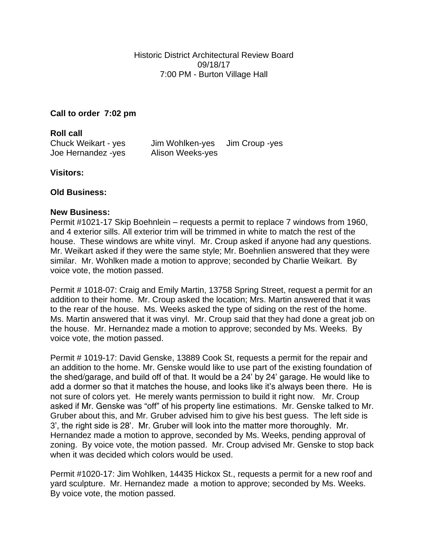**Call to order 7:02 pm**

**Roll call** Chuck Weikart - yes Jim Wohlken-yes Jim Croup -yes Joe Hernandez -yes Alison Weeks-yes

**Visitors:**

## **Old Business:**

## **New Business:**

Permit #1021-17 Skip Boehnlein – requests a permit to replace 7 windows from 1960, and 4 exterior sills. All exterior trim will be trimmed in white to match the rest of the house. These windows are white vinyl. Mr. Croup asked if anyone had any questions. Mr. Weikart asked if they were the same style; Mr. Boehnlien answered that they were similar. Mr. Wohlken made a motion to approve; seconded by Charlie Weikart. By voice vote, the motion passed.

Permit # 1018-07: Craig and Emily Martin, 13758 Spring Street, request a permit for an addition to their home. Mr. Croup asked the location; Mrs. Martin answered that it was to the rear of the house. Ms. Weeks asked the type of siding on the rest of the home. Ms. Martin answered that it was vinyl. Mr. Croup said that they had done a great job on the house. Mr. Hernandez made a motion to approve; seconded by Ms. Weeks. By voice vote, the motion passed.

Permit # 1019-17: David Genske, 13889 Cook St, requests a permit for the repair and an addition to the home. Mr. Genske would like to use part of the existing foundation of the shed/garage, and build off of that. It would be a 24' by 24' garage. He would like to add a dormer so that it matches the house, and looks like it's always been there. He is not sure of colors yet. He merely wants permission to build it right now. Mr. Croup asked if Mr. Genske was "off" of his property line estimations. Mr. Genske talked to Mr. Gruber about this, and Mr. Gruber advised him to give his best guess. The left side is 3', the right side is 28'. Mr. Gruber will look into the matter more thoroughly. Mr. Hernandez made a motion to approve, seconded by Ms. Weeks, pending approval of zoning. By voice vote, the motion passed. Mr. Croup advised Mr. Genske to stop back when it was decided which colors would be used.

Permit #1020-17: Jim Wohlken, 14435 Hickox St., requests a permit for a new roof and yard sculpture. Mr. Hernandez made a motion to approve; seconded by Ms. Weeks. By voice vote, the motion passed.